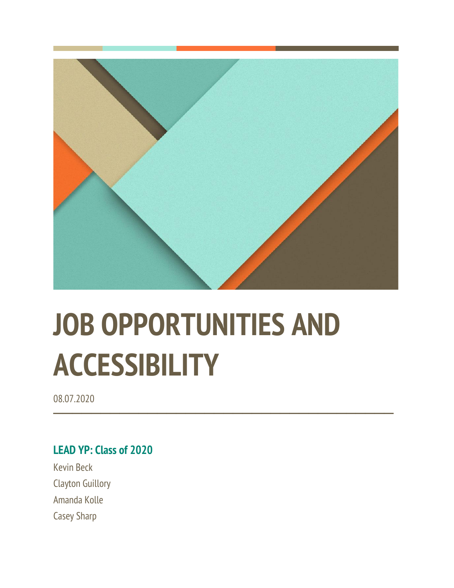

# **JOB OPPORTUNITIES AND ACCESSIBILITY**

**────────────────────────────────────**

08.07.2020

## **LEAD YP: Class of 2020**

Kevin Beck Clayton Guillory Amanda Kolle Casey Sharp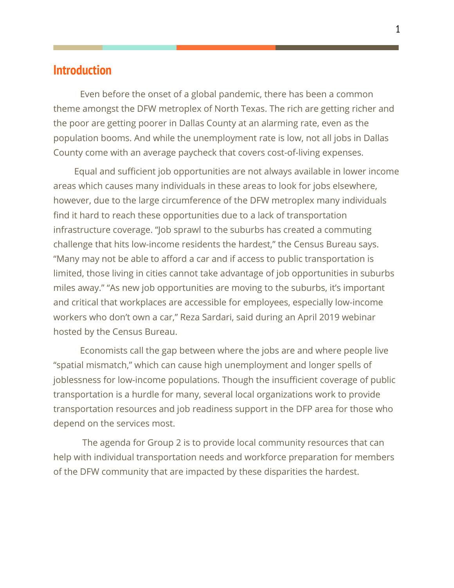#### **Introduction**

Even before the onset of a global pandemic, there has been a common theme amongst the DFW metroplex of North Texas. The rich are getting richer and the poor are getting poorer in Dallas County at an alarming rate, even as the population booms. And while the unemployment rate is low, not all jobs in Dallas County come with an average paycheck that covers cost-of-living expenses.

 Equal and sufficient job opportunities are not always available in lower income areas which causes many individuals in these areas to look for jobs elsewhere, however, due to the large circumference of the DFW metroplex many individuals find it hard to reach these opportunities due to a lack of transportation infrastructure coverage. "Job sprawl to the suburbs has created a commuting challenge that hits low-income residents the hardest," the Census Bureau says. "Many may not be able to afford a car and if access to public transportation is limited, those living in cities cannot take advantage of job opportunities in suburbs miles away." "As new job opportunities are moving to the suburbs, it's important and critical that workplaces are accessible for employees, especially low-income workers who don't own a car," Reza Sardari, said during an April 2019 webinar hosted by the Census Bureau.

Economists call the gap between where the jobs are and where people live "spatial mismatch," which can cause high unemployment and longer spells of joblessness for low-income populations. Though the insufficient coverage of public transportation is a hurdle for many, several local organizations work to provide transportation resources and job readiness support in the DFP area for those who depend on the services most.

The agenda for Group 2 is to provide local community resources that can help with individual transportation needs and workforce preparation for members of the DFW community that are impacted by these disparities the hardest.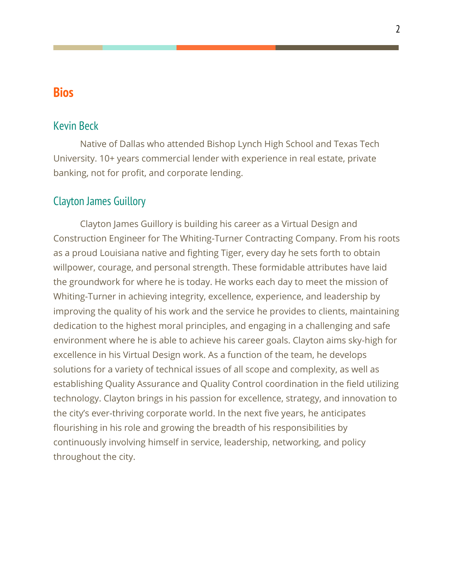# **Bios**

#### Kevin Beck

Native of Dallas who attended Bishop Lynch High School and Texas Tech University. 10+ years commercial lender with experience in real estate, private banking, not for profit, and corporate lending.

#### Clayton James Guillory

Clayton James Guillory is building his career as a Virtual Design and Construction Engineer for The Whiting-Turner Contracting Company. From his roots as a proud Louisiana native and fighting Tiger, every day he sets forth to obtain willpower, courage, and personal strength. These formidable attributes have laid the groundwork for where he is today. He works each day to meet the mission of Whiting-Turner in achieving integrity, excellence, experience, and leadership by improving the quality of his work and the service he provides to clients, maintaining dedication to the highest moral principles, and engaging in a challenging and safe environment where he is able to achieve his career goals. Clayton aims sky-high for excellence in his Virtual Design work. As a function of the team, he develops solutions for a variety of technical issues of all scope and complexity, as well as establishing Quality Assurance and Quality Control coordination in the field utilizing technology. Clayton brings in his passion for excellence, strategy, and innovation to the city's ever-thriving corporate world. In the next five years, he anticipates flourishing in his role and growing the breadth of his responsibilities by continuously involving himself in service, leadership, networking, and policy throughout the city.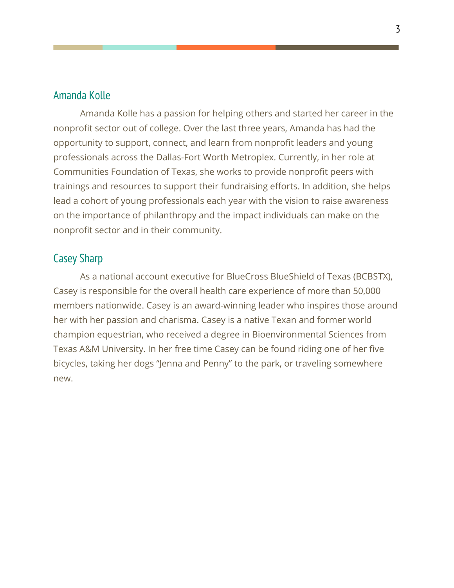#### Amanda Kolle

Amanda Kolle has a passion for helping others and started her career in the nonprofit sector out of college. Over the last three years, Amanda has had the opportunity to support, connect, and learn from nonprofit leaders and young professionals across the Dallas-Fort Worth Metroplex. Currently, in her role at Communities Foundation of Texas, she works to provide nonprofit peers with trainings and resources to support their fundraising efforts. In addition, she helps lead a cohort of young professionals each year with the vision to raise awareness on the importance of philanthropy and the impact individuals can make on the nonprofit sector and in their community.

#### Casey Sharp

As a national account executive for BlueCross BlueShield of Texas (BCBSTX), Casey is responsible for the overall health care experience of more than 50,000 members nationwide. Casey is an award-winning leader who inspires those around her with her passion and charisma. Casey is a native Texan and former world champion equestrian, who received a degree in Bioenvironmental Sciences from Texas A&M University. In her free time Casey can be found riding one of her five bicycles, taking her dogs "Jenna and Penny" to the park, or traveling somewhere new.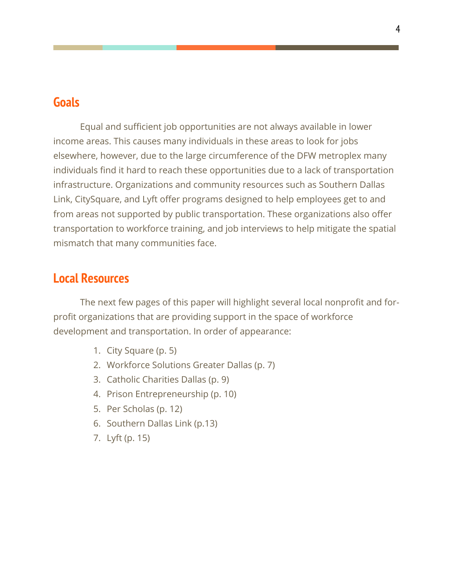# **Goals**

Equal and sufficient job opportunities are not always available in lower income areas. This causes many individuals in these areas to look for jobs elsewhere, however, due to the large circumference of the DFW metroplex many individuals find it hard to reach these opportunities due to a lack of transportation infrastructure. Organizations and community resources such as Southern Dallas Link, CitySquare, and Lyft offer programs designed to help employees get to and from areas not supported by public transportation. These organizations also offer transportation to workforce training, and job interviews to help mitigate the spatial mismatch that many communities face.

### **Local Resources**

The next few pages of this paper will highlight several local nonprofit and forprofit organizations that are providing support in the space of workforce development and transportation. In order of appearance:

- 1. City Square (p. 5)
- 2. Workforce Solutions Greater Dallas (p. 7)
- 3. Catholic Charities Dallas (p. 9)
- 4. Prison Entrepreneurship (p. 10)
- 5. Per Scholas (p. 12)
- 6. Southern Dallas Link (p.13)
- 7. Lyft (p. 15)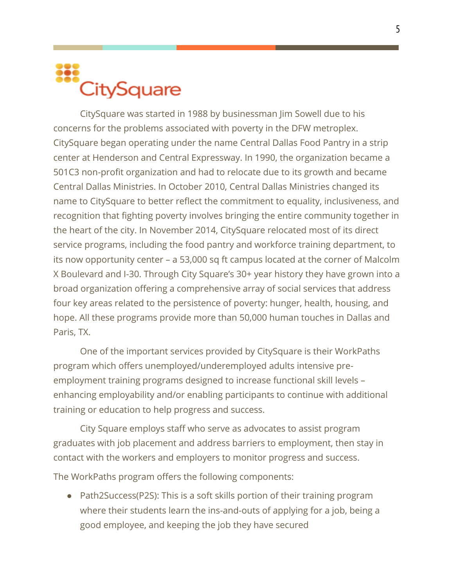# **CitySquare**

CitySquare was started in 1988 by businessman Jim Sowell due to his concerns for the problems associated with poverty in the DFW metroplex. CitySquare began operating under the name Central Dallas Food Pantry in a strip center at Henderson and Central Expressway. In 1990, the organization became a 501C3 non-profit organization and had to relocate due to its growth and became Central Dallas Ministries. In October 2010, Central Dallas Ministries changed its name to CitySquare to better reflect the commitment to equality, inclusiveness, and recognition that fighting poverty involves bringing the entire community together in the heart of the city. In November 2014, CitySquare relocated most of its direct service programs, including the food pantry and workforce training department, to its now opportunity center – a 53,000 sq ft campus located at the corner of Malcolm X Boulevard and I-30. Through City Square's 30+ year history they have grown into a broad organization offering a comprehensive array of social services that address four key areas related to the persistence of poverty: hunger, health, housing, and hope. All these programs provide more than 50,000 human touches in Dallas and Paris, TX.

One of the important services provided by CitySquare is their WorkPaths program which offers unemployed/underemployed adults intensive preemployment training programs designed to increase functional skill levels – enhancing employability and/or enabling participants to continue with additional training or education to help progress and success.

City Square employs staff who serve as advocates to assist program graduates with job placement and address barriers to employment, then stay in contact with the workers and employers to monitor progress and success.

The WorkPaths program offers the following components:

● Path2Success(P2S): This is a soft skills portion of their training program where their students learn the ins-and-outs of applying for a job, being a good employee, and keeping the job they have secured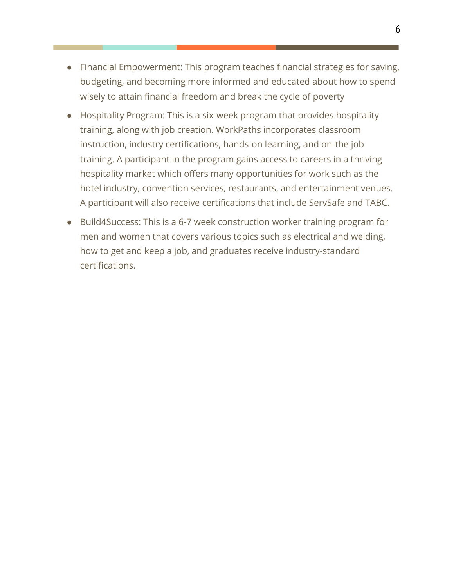- Financial Empowerment: This program teaches financial strategies for saving, budgeting, and becoming more informed and educated about how to spend wisely to attain financial freedom and break the cycle of poverty
- Hospitality Program: This is a six-week program that provides hospitality training, along with job creation. WorkPaths incorporates classroom instruction, industry certifications, hands-on learning, and on-the job training. A participant in the program gains access to careers in a thriving hospitality market which offers many opportunities for work such as the hotel industry, convention services, restaurants, and entertainment venues. A participant will also receive certifications that include ServSafe and TABC.
- Build4Success: This is a 6-7 week construction worker training program for men and women that covers various topics such as electrical and welding, how to get and keep a job, and graduates receive industry-standard certifications.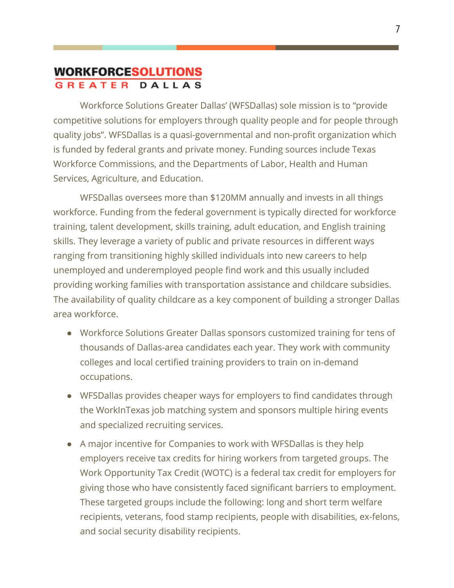#### **WORKFORCESOLUTIONS GREATER DALLAS**

Workforce Solutions Greater Dallas' (WFSDallas) sole mission is to "provide competitive solutions for employers through quality people and for people through quality jobs". WFSDallas is a quasi-governmental and non-profit organization which is funded by federal grants and private money. Funding sources include Texas Workforce Commissions, and the Departments of Labor, Health and Human Services, Agriculture, and Education.

WFSDallas oversees more than \$120MM annually and invests in all things workforce. Funding from the federal government is typically directed for workforce training, talent development, skills training, adult education, and English training skills. They leverage a variety of public and private resources in different ways ranging from transitioning highly skilled individuals into new careers to help unemployed and underemployed people find work and this usually included providing working families with transportation assistance and childcare subsidies. The availability of quality childcare as a key component of building a stronger Dallas area workforce.

- Workforce Solutions Greater Dallas sponsors customized training for tens of thousands of Dallas-area candidates each year. They work with community colleges and local certified training providers to train on in-demand occupations.
- WFSDallas provides cheaper ways for employers to find candidates through the WorkInTexas job matching system and sponsors multiple hiring events and specialized recruiting services.
- A major incentive for Companies to work with WFSDallas is they help employers receive tax credits for hiring workers from targeted groups. The Work Opportunity Tax Credit (WOTC) is a federal tax credit for employers for giving those who have consistently faced significant barriers to employment. These targeted groups include the following: long and short term welfare recipients, veterans, food stamp recipients, people with disabilities, ex-felons, and social security disability recipients.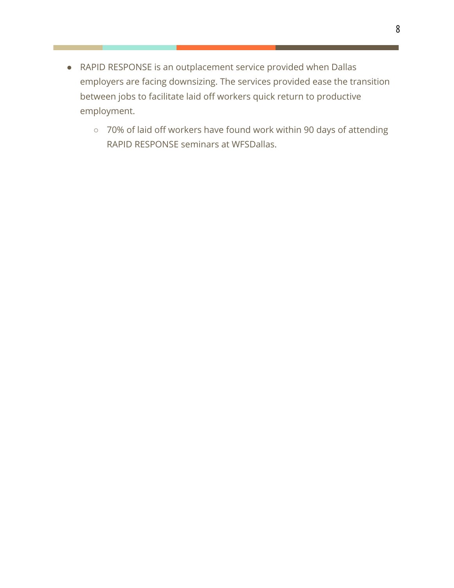- RAPID RESPONSE is an outplacement service provided when Dallas employers are facing downsizing. The services provided ease the transition between jobs to facilitate laid off workers quick return to productive employment.
	- 70% of laid off workers have found work within 90 days of attending RAPID RESPONSE seminars at WFSDallas.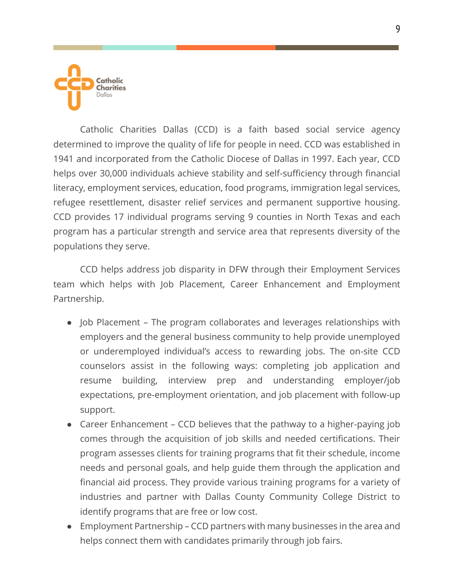

Catholic Charities Dallas (CCD) is a faith based social service agency determined to improve the quality of life for people in need. CCD was established in 1941 and incorporated from the Catholic Diocese of Dallas in 1997. Each year, CCD helps over 30,000 individuals achieve stability and self-sufficiency through financial literacy, employment services, education, food programs, immigration legal services, refugee resettlement, disaster relief services and permanent supportive housing. CCD provides 17 individual programs serving 9 counties in North Texas and each program has a particular strength and service area that represents diversity of the populations they serve.

CCD helps address job disparity in DFW through their Employment Services team which helps with Job Placement, Career Enhancement and Employment Partnership.

- Job Placement The program collaborates and leverages relationships with employers and the general business community to help provide unemployed or underemployed individual's access to rewarding jobs. The on-site CCD counselors assist in the following ways: completing job application and resume building, interview prep and understanding employer/job expectations, pre-employment orientation, and job placement with follow-up support.
- Career Enhancement CCD believes that the pathway to a higher-paying job comes through the acquisition of job skills and needed certifications. Their program assesses clients for training programs that fit their schedule, income needs and personal goals, and help guide them through the application and financial aid process. They provide various training programs for a variety of industries and partner with Dallas County Community College District to identify programs that are free or low cost.
- Employment Partnership CCD partners with many businesses in the area and helps connect them with candidates primarily through job fairs.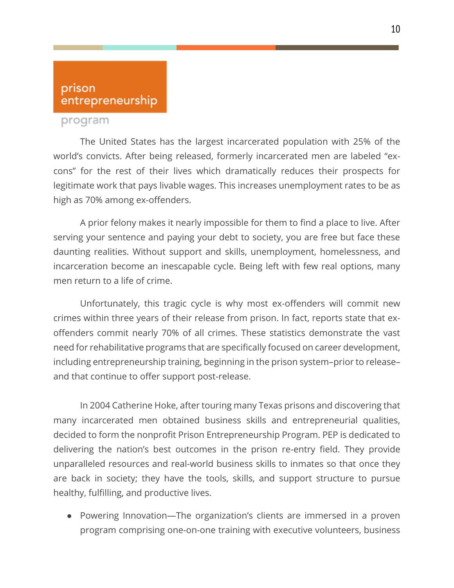#### prison entrepreneurship

#### program

The United States has the largest incarcerated population with 25% of the world's convicts. After being released, formerly incarcerated men are labeled "excons" for the rest of their lives which dramatically reduces their prospects for legitimate work that pays livable wages. This increases unemployment rates to be as high as 70% among ex-offenders.

A prior felony makes it nearly impossible for them to find a place to live. After serving your sentence and paying your debt to society, you are free but face these daunting realities. Without support and skills, unemployment, homelessness, and incarceration become an inescapable cycle. Being left with few real options, many men return to a life of crime.

Unfortunately, this tragic cycle is why most ex-offenders will commit new crimes within three years of their release from prison. In fact, reports state that exoffenders commit nearly 70% of all crimes. These statistics demonstrate the vast need for rehabilitative programs that are specifically focused on career development, including entrepreneurship training, beginning in the prison system–prior to release– and that continue to offer support post-release.

In 2004 Catherine Hoke, after touring many Texas prisons and discovering that many incarcerated men obtained business skills and entrepreneurial qualities, decided to form the nonprofit Prison Entrepreneurship Program. PEP is dedicated to delivering the nation's best outcomes in the prison re-entry field. They provide unparalleled resources and real-world business skills to inmates so that once they are back in society; they have the tools, skills, and support structure to pursue healthy, fulfilling, and productive lives.

● Powering Innovation—The organization's clients are immersed in a proven program comprising one-on-one training with executive volunteers, business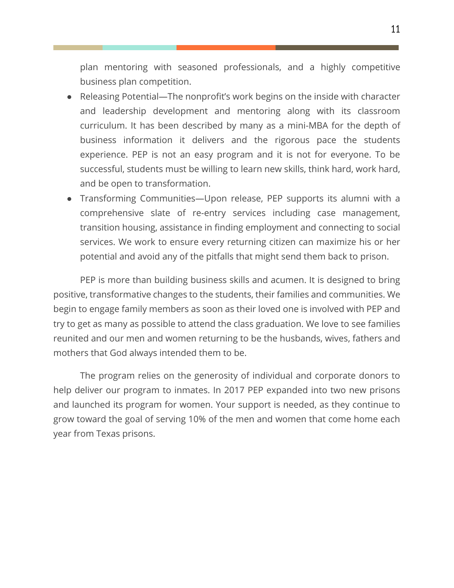plan mentoring with seasoned professionals, and a highly competitive business plan competition.

- Releasing Potential—The nonprofit's work begins on the inside with character and leadership development and mentoring along with its classroom curriculum. It has been described by many as a mini-MBA for the depth of business information it delivers and the rigorous pace the students experience. PEP is not an easy program and it is not for everyone. To be successful, students must be willing to learn new skills, think hard, work hard, and be open to transformation.
- Transforming Communities—Upon release, PEP supports its alumni with a comprehensive slate of re-entry services including case management, transition housing, assistance in finding employment and connecting to social services. We work to ensure every returning citizen can maximize his or her potential and avoid any of the pitfalls that might send them back to prison.

PEP is more than building business skills and acumen. It is designed to bring positive, transformative changes to the students, their families and communities. We begin to engage family members as soon as their loved one is involved with PEP and try to get as many as possible to attend the class graduation. We love to see families reunited and our men and women returning to be the husbands, wives, fathers and mothers that God always intended them to be.

The program relies on the generosity of individual and corporate donors to help deliver our program to inmates. In 2017 PEP expanded into two new prisons and launched its program for women. Your support is needed, as they continue to grow toward the goal of serving 10% of the men and women that come home each year from Texas prisons.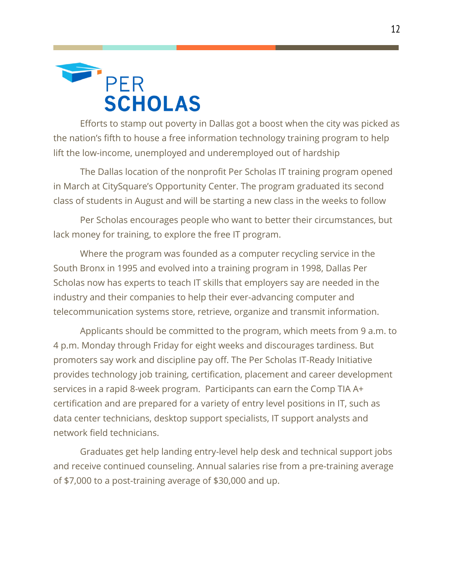

Efforts to stamp out poverty in Dallas got a boost when the city was picked as the nation's fifth to house a free information technology training program to help lift the low-income, unemployed and underemployed out of hardship

The Dallas location of the nonprofit Per Scholas IT training program opened in March at CitySquare's Opportunity Center. The program graduated its second class of students in August and will be starting a new class in the weeks to follow

Per Scholas encourages people who want to better their circumstances, but lack money for training, to explore the free IT program.

Where the program was founded as a computer recycling service in the South Bronx in 1995 and evolved into a training program in 1998, Dallas Per Scholas now has experts to teach IT skills that employers say are needed in the industry and their companies to help their ever-advancing computer and telecommunication systems store, retrieve, organize and transmit information.

Applicants should be committed to the program, which meets from 9 a.m. to 4 p.m. Monday through Friday for eight weeks and discourages tardiness. But promoters say work and discipline pay off. The Per Scholas IT-Ready Initiative provides technology job training, certification, placement and career development services in a rapid 8-week program. Participants can earn the Comp TIA A+ certification and are prepared for a variety of entry level positions in IT, such as data center technicians, desktop support specialists, IT support analysts and network field technicians.

Graduates get help landing entry-level help desk and technical support jobs and receive continued counseling. Annual salaries rise from a pre-training average of \$7,000 to a post-training average of \$30,000 and up.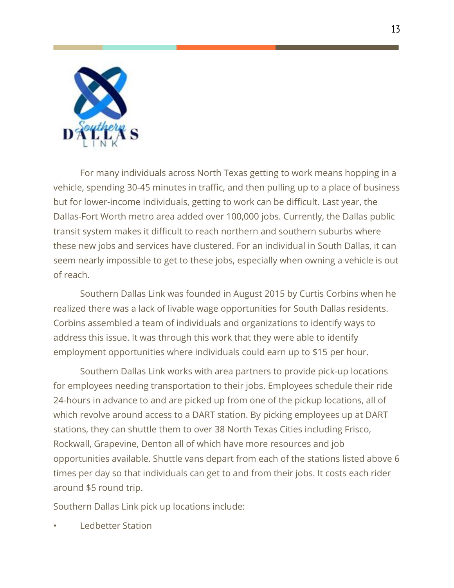

For many individuals across North Texas getting to work means hopping in a vehicle, spending 30-45 minutes in traffic, and then pulling up to a place of business but for lower-income individuals, getting to work can be difficult. Last year, the Dallas-Fort Worth metro area added over 100,000 jobs. Currently, the Dallas public transit system makes it difficult to reach northern and southern suburbs where these new jobs and services have clustered. For an individual in South Dallas, it can seem nearly impossible to get to these jobs, especially when owning a vehicle is out of reach.

Southern Dallas Link was founded in August 2015 by Curtis Corbins when he realized there was a lack of livable wage opportunities for South Dallas residents. Corbins assembled a team of individuals and organizations to identify ways to address this issue. It was through this work that they were able to identify employment opportunities where individuals could earn up to \$15 per hour.

Southern Dallas Link works with area partners to provide pick-up locations for employees needing transportation to their jobs. Employees schedule their ride 24-hours in advance to and are picked up from one of the pickup locations, all of which revolve around access to a DART station. By picking employees up at DART stations, they can shuttle them to over 38 North Texas Cities including Frisco, Rockwall, Grapevine, Denton all of which have more resources and job opportunities available. Shuttle vans depart from each of the stations listed above 6 times per day so that individuals can get to and from their jobs. It costs each rider around \$5 round trip.

Southern Dallas Link pick up locations include:

• Ledbetter Station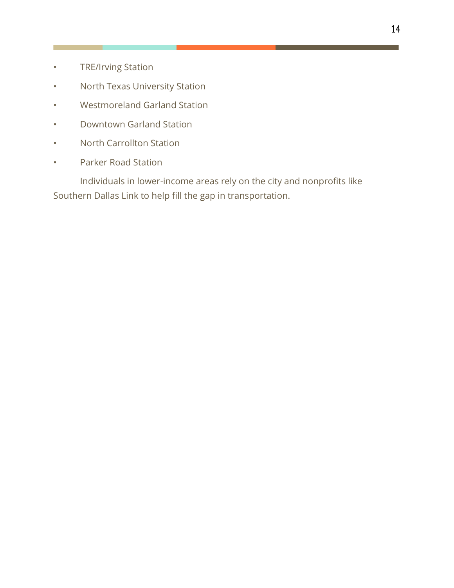- TRE/Irving Station
- North Texas University Station
- Westmoreland Garland Station
- Downtown Garland Station
- North Carrollton Station
- Parker Road Station

Individuals in lower-income areas rely on the city and nonprofits like Southern Dallas Link to help fill the gap in transportation.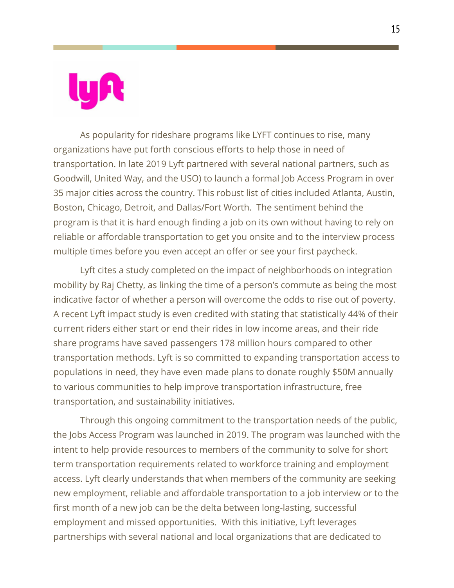As popularity for rideshare programs like LYFT continues to rise, many organizations have put forth conscious efforts to help those in need of transportation. In late 2019 Lyft partnered with several national partners, such as Goodwill, United Way, and the USO) to launch a formal Job Access Program in over 35 major cities across the country. This robust list of cities included Atlanta, Austin, Boston, Chicago, Detroit, and Dallas/Fort Worth. The sentiment behind the program is that it is hard enough finding a job on its own without having to rely on reliable or affordable transportation to get you onsite and to the interview process multiple times before you even accept an offer or see your first paycheck.

Lyft cites a study completed on the impact of neighborhoods on integration mobility by Raj Chetty, as linking the time of a person's commute as being the most indicative factor of whether a person will overcome the odds to rise out of poverty. A recent Lyft impact study is even credited with stating that statistically 44% of their current riders either start or end their rides in low income areas, and their ride share programs have saved passengers 178 million hours compared to other transportation methods. Lyft is so committed to expanding transportation access to populations in need, they have even made plans to donate roughly \$50M annually to various communities to help improve transportation infrastructure, free transportation, and sustainability initiatives.

Through this ongoing commitment to the transportation needs of the public, the Jobs Access Program was launched in 2019. The program was launched with the intent to help provide resources to members of the community to solve for short term transportation requirements related to workforce training and employment access. Lyft clearly understands that when members of the community are seeking new employment, reliable and affordable transportation to a job interview or to the first month of a new job can be the delta between long-lasting, successful employment and missed opportunities. With this initiative, Lyft leverages partnerships with several national and local organizations that are dedicated to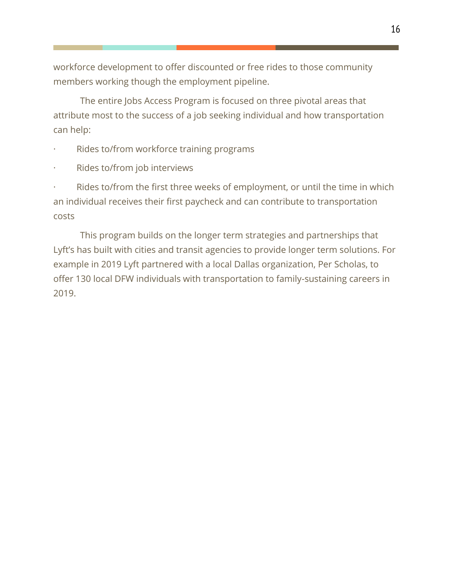workforce development to offer discounted or free rides to those community members working though the employment pipeline.

The entire Jobs Access Program is focused on three pivotal areas that attribute most to the success of a job seeking individual and how transportation can help:

- Rides to/from workforce training programs
- Rides to/from job interviews

Rides to/from the first three weeks of employment, or until the time in which an individual receives their first paycheck and can contribute to transportation costs

This program builds on the longer term strategies and partnerships that Lyft's has built with cities and transit agencies to provide longer term solutions. For example in 2019 Lyft partnered with a local Dallas organization, Per Scholas, to offer 130 local DFW individuals with transportation to family-sustaining careers in 2019.